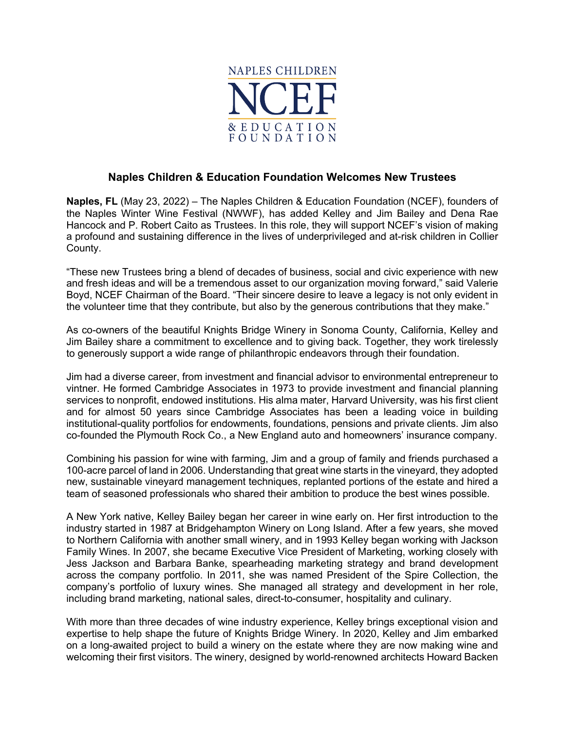

## **Naples Children & Education Foundation Welcomes New Trustees**

**Naples, FL** (May 23, 2022) – The Naples Children & Education Foundation (NCEF), founders of the Naples Winter Wine Festival (NWWF), has added Kelley and Jim Bailey and Dena Rae Hancock and P. Robert Caito as Trustees. In this role, they will support NCEF's vision of making a profound and sustaining difference in the lives of underprivileged and at-risk children in Collier County.

"These new Trustees bring a blend of decades of business, social and civic experience with new and fresh ideas and will be a tremendous asset to our organization moving forward," said Valerie Boyd, NCEF Chairman of the Board. "Their sincere desire to leave a legacy is not only evident in the volunteer time that they contribute, but also by the generous contributions that they make."

As co-owners of the beautiful Knights Bridge Winery in Sonoma County, California, Kelley and Jim Bailey share a commitment to excellence and to giving back. Together, they work tirelessly to generously support a wide range of philanthropic endeavors through their foundation.

Jim had a diverse career, from investment and financial advisor to environmental entrepreneur to vintner. He formed Cambridge Associates in 1973 to provide investment and financial planning services to nonprofit, endowed institutions. His alma mater, Harvard University, was his first client and for almost 50 years since Cambridge Associates has been a leading voice in building institutional-quality portfolios for endowments, foundations, pensions and private clients. Jim also co-founded the Plymouth Rock Co., a New England auto and homeowners' insurance company.

Combining his passion for wine with farming, Jim and a group of family and friends purchased a 100-acre parcel of land in 2006. Understanding that great wine starts in the vineyard, they adopted new, sustainable vineyard management techniques, replanted portions of the estate and hired a team of seasoned professionals who shared their ambition to produce the best wines possible.

A New York native, Kelley Bailey began her career in wine early on. Her first introduction to the industry started in 1987 at Bridgehampton Winery on Long Island. After a few years, she moved to Northern California with another small winery, and in 1993 Kelley began working with Jackson Family Wines. In 2007, she became Executive Vice President of Marketing, working closely with Jess Jackson and Barbara Banke, spearheading marketing strategy and brand development across the company portfolio. In 2011, she was named President of the Spire Collection, the company's portfolio of luxury wines. She managed all strategy and development in her role, including brand marketing, national sales, direct-to-consumer, hospitality and culinary.

With more than three decades of wine industry experience, Kelley brings exceptional vision and expertise to help shape the future of Knights Bridge Winery. In 2020, Kelley and Jim embarked on a long-awaited project to build a winery on the estate where they are now making wine and welcoming their first visitors. The winery, designed by world-renowned architects Howard Backen